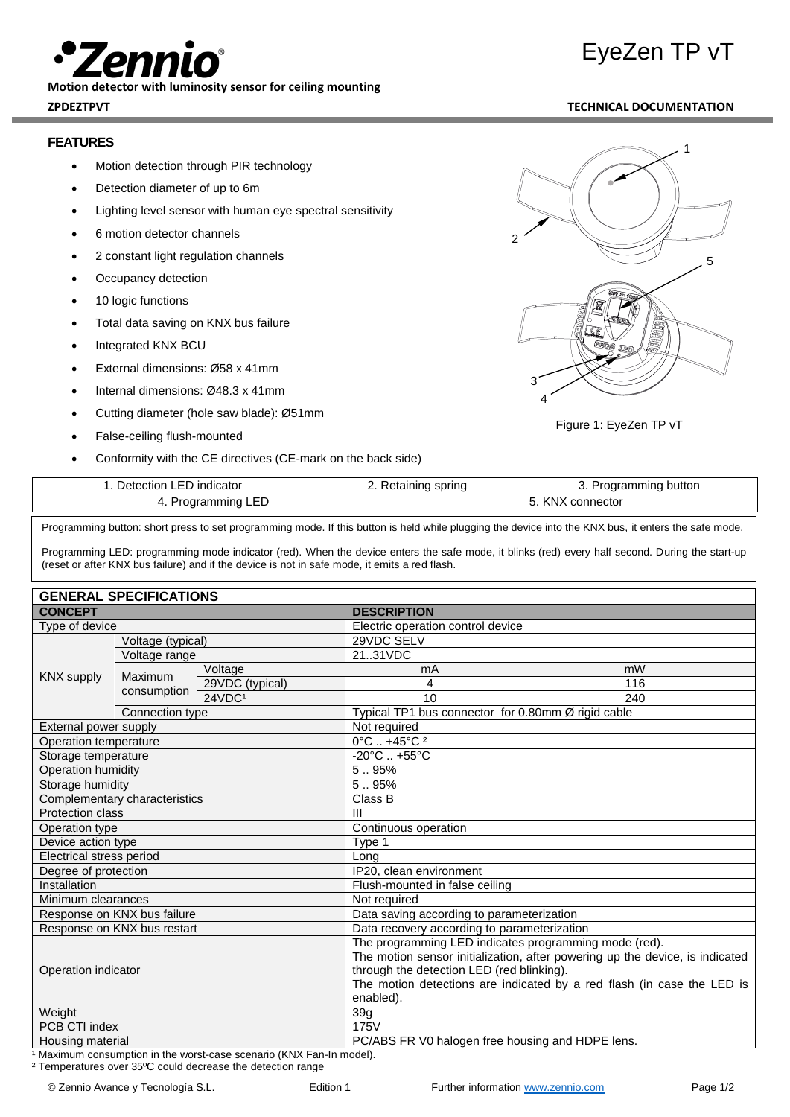**Motion detector with luminosity sensor for ceiling mounting**

### **FEATURES**

- Motion detection through PIR technology
- Detection diameter of up to 6m
- Lighting level sensor with human eye spectral sensitivity
- 6 motion detector channels
- 2 constant light regulation channels
- Occupancy detection
- 10 logic functions
- Total data saving on KNX bus failure
- Integrated KNX BCU
- External dimensions: Ø58 x 41mm
- Internal dimensions: Ø48.3 x 41mm
- Cutting diameter (hole saw blade): Ø51mm
- False-ceiling flush-mounted
- Conformity with the CE directives (CE-mark on the back side)

| 2 |              |                        | 1<br>5 |
|---|--------------|------------------------|--------|
|   | ï<br>ØЛ<br>٦ | <b>EXTREMELTE</b><br>ê |        |

Figure 1: EyeZen TP vT

3 4

| . Detection LED indicator | 2. Retaining spring | 3. Programming button |  |
|---------------------------|---------------------|-----------------------|--|
| 4. Programming LED        |                     | 5. KNX connector      |  |

Programming button: short press to set programming mode. If this button is held while plugging the device into the KNX bus, it enters the safe mode.

Programming LED: programming mode indicator (red). When the device enters the safe mode, it blinks (red) every half second. During the start-up (reset or after KNX bus failure) and if the device is not in safe mode, it emits a red flash.

| <b>GENERAL SPECIFICATIONS</b>                                                   |                   |                                                                              |                                                    |     |  |  |
|---------------------------------------------------------------------------------|-------------------|------------------------------------------------------------------------------|----------------------------------------------------|-----|--|--|
| <b>CONCEPT</b>                                                                  |                   | <b>DESCRIPTION</b>                                                           |                                                    |     |  |  |
| Type of device                                                                  |                   |                                                                              | Electric operation control device                  |     |  |  |
|                                                                                 | Voltage (typical) |                                                                              | 29VDC SELV                                         |     |  |  |
| Voltage range<br><b>KNX supply</b><br>Maximum<br>consumption<br>Connection type |                   | 2131VDC                                                                      |                                                    |     |  |  |
|                                                                                 |                   | Voltage                                                                      | mA                                                 | mW  |  |  |
|                                                                                 |                   | 29VDC (typical)                                                              | 4                                                  | 116 |  |  |
|                                                                                 |                   | 24VDC <sup>1</sup>                                                           | 10                                                 | 240 |  |  |
|                                                                                 |                   |                                                                              | Typical TP1 bus connector for 0.80mm Ø rigid cable |     |  |  |
| External power supply                                                           |                   | Not required                                                                 |                                                    |     |  |  |
| Operation temperature                                                           |                   |                                                                              | $0^{\circ}$ C  +45°C <sup>2</sup>                  |     |  |  |
| Storage temperature                                                             |                   | $-20^{\circ}$ C  +55 $^{\circ}$ C                                            |                                                    |     |  |  |
| Operation humidity                                                              |                   | 5.95%                                                                        |                                                    |     |  |  |
| Storage humidity                                                                |                   | 5.95%                                                                        |                                                    |     |  |  |
| Complementary characteristics                                                   |                   | Class B                                                                      |                                                    |     |  |  |
| <b>Protection class</b>                                                         |                   | $\mathbf{III}$                                                               |                                                    |     |  |  |
| Operation type                                                                  |                   | Continuous operation                                                         |                                                    |     |  |  |
| Device action type                                                              |                   | Type 1                                                                       |                                                    |     |  |  |
| Electrical stress period                                                        |                   | Long                                                                         |                                                    |     |  |  |
| Degree of protection                                                            |                   | IP20, clean environment                                                      |                                                    |     |  |  |
| Installation                                                                    |                   | Flush-mounted in false ceiling                                               |                                                    |     |  |  |
| Minimum clearances                                                              |                   | Not required                                                                 |                                                    |     |  |  |
| Response on KNX bus failure                                                     |                   |                                                                              | Data saving according to parameterization          |     |  |  |
| Response on KNX bus restart                                                     |                   | Data recovery according to parameterization                                  |                                                    |     |  |  |
| Operation indicator                                                             |                   | The programming LED indicates programming mode (red).                        |                                                    |     |  |  |
|                                                                                 |                   | The motion sensor initialization, after powering up the device, is indicated |                                                    |     |  |  |
|                                                                                 |                   | through the detection LED (red blinking).                                    |                                                    |     |  |  |
|                                                                                 |                   | The motion detections are indicated by a red flash (in case the LED is       |                                                    |     |  |  |
|                                                                                 |                   | enabled).                                                                    |                                                    |     |  |  |
| Weight                                                                          |                   | 39 <sub>g</sub>                                                              |                                                    |     |  |  |
| PCB CTI index                                                                   |                   | <b>175V</b>                                                                  |                                                    |     |  |  |
| Housing material                                                                |                   |                                                                              | PC/ABS FR V0 halogen free housing and HDPE lens.   |     |  |  |

<sup>1</sup> Maximum consumption in the worst-case scenario (KNX Fan-In model).

² Temperatures over 35ºC could decrease the detection range

© Zennio Avance y Tecnología S.L. <br />
Edition 1 Further information [www.zennio.com](http://www.zennio.com/) Page 1/2

# EyeZen TP vT

### **ZPDEZTPVT TECHNICAL DOCUMENTATION**